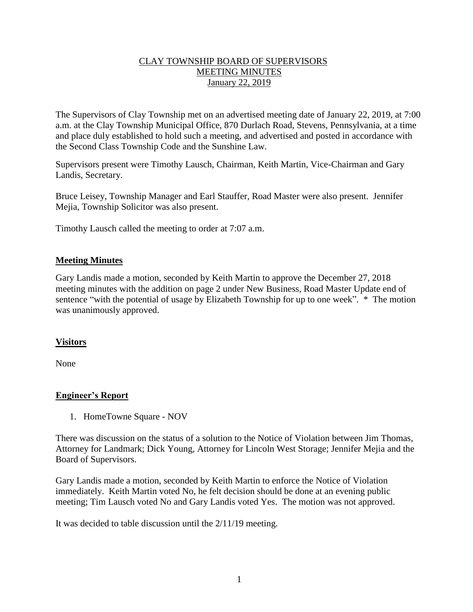#### CLAY TOWNSHIP BOARD OF SUPERVISORS MEETING MINUTES January 22, 2019

The Supervisors of Clay Township met on an advertised meeting date of January 22, 2019, at 7:00 a.m. at the Clay Township Municipal Office, 870 Durlach Road, Stevens, Pennsylvania, at a time and place duly established to hold such a meeting, and advertised and posted in accordance with the Second Class Township Code and the Sunshine Law.

Supervisors present were Timothy Lausch, Chairman, Keith Martin, Vice-Chairman and Gary Landis, Secretary.

Bruce Leisey, Township Manager and Earl Stauffer, Road Master were also present. Jennifer Mejia, Township Solicitor was also present.

Timothy Lausch called the meeting to order at 7:07 a.m.

#### **Meeting Minutes**

Gary Landis made a motion, seconded by Keith Martin to approve the December 27, 2018 meeting minutes with the addition on page 2 under New Business, Road Master Update end of sentence "with the potential of usage by Elizabeth Township for up to one week". \* The motion was unanimously approved.

#### **Visitors**

None

# **Engineer's Report**

1. HomeTowne Square - NOV

There was discussion on the status of a solution to the Notice of Violation between Jim Thomas, Attorney for Landmark; Dick Young, Attorney for Lincoln West Storage; Jennifer Mejia and the Board of Supervisors.

Gary Landis made a motion, seconded by Keith Martin to enforce the Notice of Violation immediately. Keith Martin voted No, he felt decision should be done at an evening public meeting; Tim Lausch voted No and Gary Landis voted Yes. The motion was not approved.

It was decided to table discussion until the 2/11/19 meeting.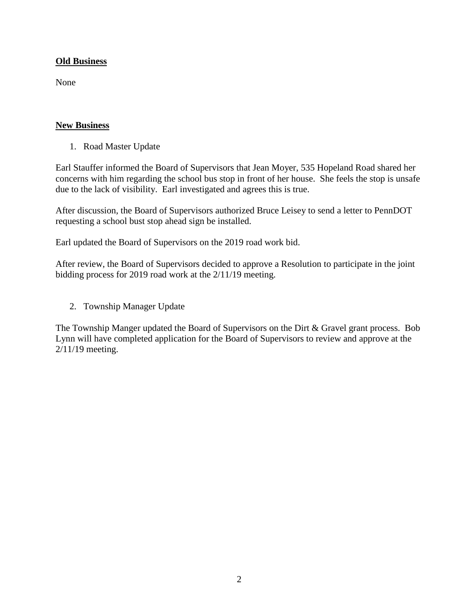# **Old Business**

None

# **New Business**

1. Road Master Update

Earl Stauffer informed the Board of Supervisors that Jean Moyer, 535 Hopeland Road shared her concerns with him regarding the school bus stop in front of her house. She feels the stop is unsafe due to the lack of visibility. Earl investigated and agrees this is true.

After discussion, the Board of Supervisors authorized Bruce Leisey to send a letter to PennDOT requesting a school bust stop ahead sign be installed.

Earl updated the Board of Supervisors on the 2019 road work bid.

After review, the Board of Supervisors decided to approve a Resolution to participate in the joint bidding process for 2019 road work at the 2/11/19 meeting.

2. Township Manager Update

The Township Manger updated the Board of Supervisors on the Dirt & Gravel grant process. Bob Lynn will have completed application for the Board of Supervisors to review and approve at the 2/11/19 meeting.